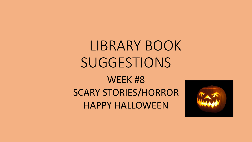## LIBRARY BOOK **SUGGESTIONS**

#### WEEK #8 SCARY STORIES/HORROR HAPPY HALLOWEEN

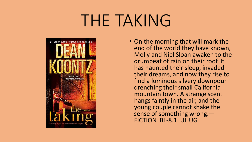## THE TAKING



• On the morning that will mark the end of the world they have known, Molly and Niel Sloan awaken to the drumbeat of rain on their roof. It has haunted their sleep, invaded their dreams, and now they rise to find a luminous silvery downpour drenching their small California mountain town. A strange scent hangs faintly in the air, and the young couple cannot shake the sense of something wrong.— FICTION BL-8.1 UL UG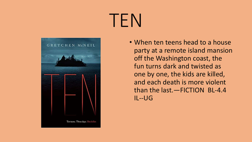# TEN



• When ten teens head to a house party at a remote island mansion off the Washington coast, the fun turns dark and twisted as one by one, the kids are killed, and each death is more violent than the last. - FICTION BL-4.4  $IL-JG$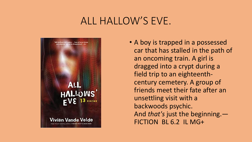#### ALL HALLOW'S EVE.



• A boy is trapped in a possessed car that has stalled in the path of an oncoming train. A girl is dragged into a crypt during a field trip to an eighteenthcentury cemetery. A group of friends meet their fate after an unsettling visit with a backwoods psychic. And *that's* just the beginning.— FICTION BL 6.2 IL MG+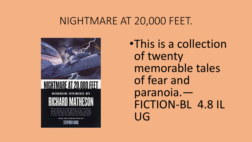#### NIGHTMARE AT 20,000 FEET.



• This is a collection of twenty memorable tales of fear and paranoia.-FICTION-BL 4.8 IL UG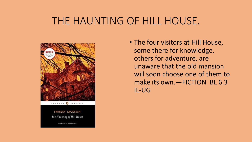#### THE HAUNTING OF HILL HOUSE.



PENGUIN & CLASSICS

SHIRLEY JACKSON The Haunting of Hill House

terraduction by LAURA WRITE

• The four visitors at Hill House, some there for knowledge, others for adventure, are unaware that the old mansion will soon choose one of them to make its own.—FICTION BL 6.3 IL-UG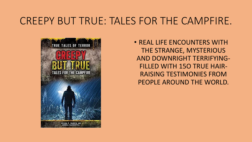#### CREEPY BUT TRUE: TALES FOR THE CAMPFIRE.



• REAL LIFE ENCOUNTERS WITH THE STRANGE, MYSTERIOUS AND DOWNRIGHT TERRIFYING-FILLED WITH 15O TRUE HAIR-RAISING TESTIMONIES FROM PEOPLE AROUND THE WORLD.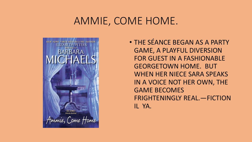#### AMMIE, COME HOME.



• THE SÉANCE BEGAN AS A PARTY GAME, A PLAYFUL DIVERSION FOR GUEST IN A FASHIONABLE GEORGETOWN HOME. BUT WHEN HER NIECE SARA SPEAKS IN A VOICE NOT HER OWN, THE GAME BECOMES FRIGHTENINGLY REAL.—FICTION IL YA.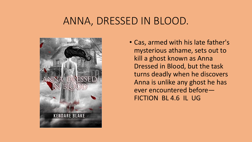#### ANNA, DRESSED IN BLOOD.



• Cas, armed with his late father's mysterious athame, sets out to kill a ghost known as Anna Dressed in Blood, but the task turns deadly when he discovers Anna is unlike any ghost he has ever encountered before— FICTION BL 4.6 IL UG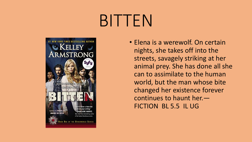# BITTEN



• Elena is a werewolf. On certain nights, she takes off into the streets, savagely striking at her animal prey. She has done all she can to assimilate to the human world, but the man whose bite changed her existence forever continues to haunt her.— FICTION BL 5.5 IL UG